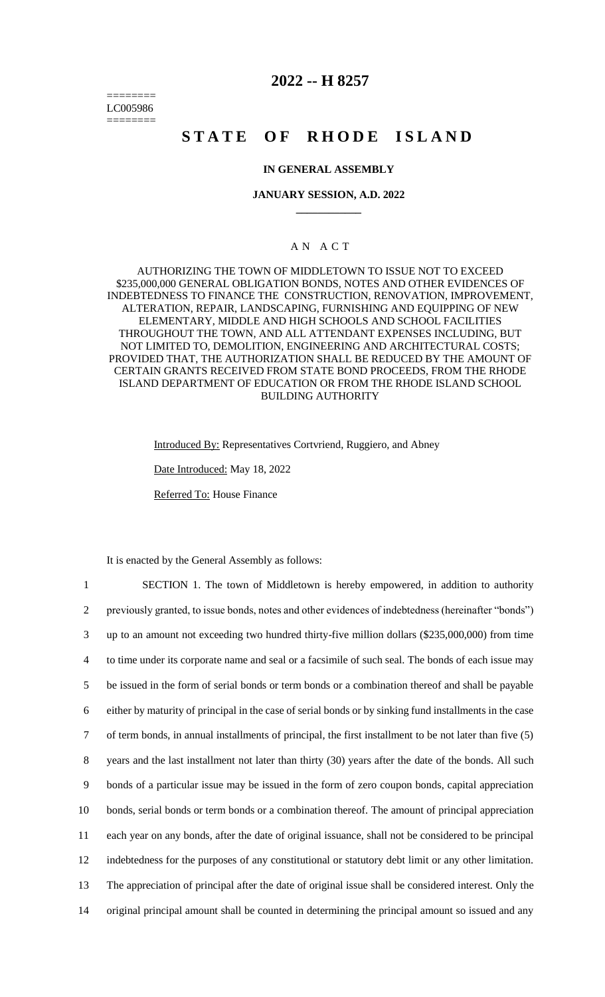======== LC005986 ========

## **2022 -- H 8257**

# **STATE OF RHODE ISLAND**

## **IN GENERAL ASSEMBLY**

### **JANUARY SESSION, A.D. 2022 \_\_\_\_\_\_\_\_\_\_\_\_**

## A N A C T

AUTHORIZING THE TOWN OF MIDDLETOWN TO ISSUE NOT TO EXCEED \$235,000,000 GENERAL OBLIGATION BONDS, NOTES AND OTHER EVIDENCES OF INDEBTEDNESS TO FINANCE THE CONSTRUCTION, RENOVATION, IMPROVEMENT, ALTERATION, REPAIR, LANDSCAPING, FURNISHING AND EQUIPPING OF NEW ELEMENTARY, MIDDLE AND HIGH SCHOOLS AND SCHOOL FACILITIES THROUGHOUT THE TOWN, AND ALL ATTENDANT EXPENSES INCLUDING, BUT NOT LIMITED TO, DEMOLITION, ENGINEERING AND ARCHITECTURAL COSTS; PROVIDED THAT, THE AUTHORIZATION SHALL BE REDUCED BY THE AMOUNT OF CERTAIN GRANTS RECEIVED FROM STATE BOND PROCEEDS, FROM THE RHODE ISLAND DEPARTMENT OF EDUCATION OR FROM THE RHODE ISLAND SCHOOL BUILDING AUTHORITY

Introduced By: Representatives Cortvriend, Ruggiero, and Abney

Date Introduced: May 18, 2022

Referred To: House Finance

It is enacted by the General Assembly as follows:

 SECTION 1. The town of Middletown is hereby empowered, in addition to authority previously granted, to issue bonds, notes and other evidences of indebtedness (hereinafter "bonds") up to an amount not exceeding two hundred thirty-five million dollars (\$235,000,000) from time to time under its corporate name and seal or a facsimile of such seal. The bonds of each issue may be issued in the form of serial bonds or term bonds or a combination thereof and shall be payable either by maturity of principal in the case of serial bonds or by sinking fund installments in the case of term bonds, in annual installments of principal, the first installment to be not later than five (5) years and the last installment not later than thirty (30) years after the date of the bonds. All such bonds of a particular issue may be issued in the form of zero coupon bonds, capital appreciation bonds, serial bonds or term bonds or a combination thereof. The amount of principal appreciation each year on any bonds, after the date of original issuance, shall not be considered to be principal indebtedness for the purposes of any constitutional or statutory debt limit or any other limitation. The appreciation of principal after the date of original issue shall be considered interest. Only the original principal amount shall be counted in determining the principal amount so issued and any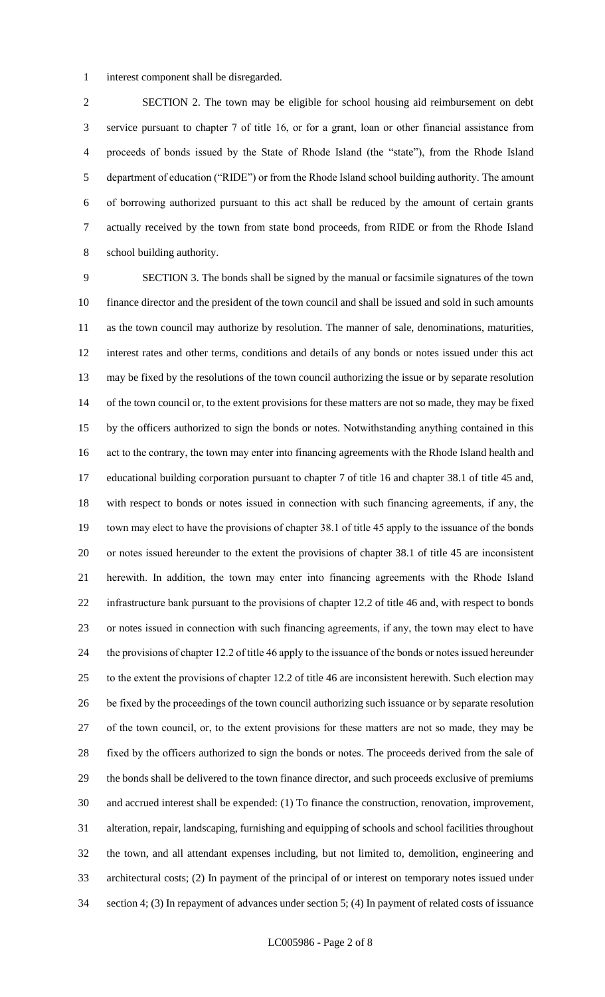interest component shall be disregarded.

 SECTION 2. The town may be eligible for school housing aid reimbursement on debt service pursuant to chapter 7 of title 16, or for a grant, loan or other financial assistance from proceeds of bonds issued by the State of Rhode Island (the "state"), from the Rhode Island department of education ("RIDE") or from the Rhode Island school building authority. The amount of borrowing authorized pursuant to this act shall be reduced by the amount of certain grants actually received by the town from state bond proceeds, from RIDE or from the Rhode Island school building authority.

 SECTION 3. The bonds shall be signed by the manual or facsimile signatures of the town finance director and the president of the town council and shall be issued and sold in such amounts as the town council may authorize by resolution. The manner of sale, denominations, maturities, interest rates and other terms, conditions and details of any bonds or notes issued under this act may be fixed by the resolutions of the town council authorizing the issue or by separate resolution 14 of the town council or, to the extent provisions for these matters are not so made, they may be fixed by the officers authorized to sign the bonds or notes. Notwithstanding anything contained in this act to the contrary, the town may enter into financing agreements with the Rhode Island health and educational building corporation pursuant to chapter 7 of title 16 and chapter 38.1 of title 45 and, with respect to bonds or notes issued in connection with such financing agreements, if any, the town may elect to have the provisions of chapter 38.1 of title 45 apply to the issuance of the bonds or notes issued hereunder to the extent the provisions of chapter 38.1 of title 45 are inconsistent herewith. In addition, the town may enter into financing agreements with the Rhode Island infrastructure bank pursuant to the provisions of chapter 12.2 of title 46 and, with respect to bonds or notes issued in connection with such financing agreements, if any, the town may elect to have the provisions of chapter 12.2 of title 46 apply to the issuance of the bonds or notes issued hereunder to the extent the provisions of chapter 12.2 of title 46 are inconsistent herewith. Such election may be fixed by the proceedings of the town council authorizing such issuance or by separate resolution of the town council, or, to the extent provisions for these matters are not so made, they may be fixed by the officers authorized to sign the bonds or notes. The proceeds derived from the sale of the bonds shall be delivered to the town finance director, and such proceeds exclusive of premiums and accrued interest shall be expended: (1) To finance the construction, renovation, improvement, alteration, repair, landscaping, furnishing and equipping of schools and school facilities throughout the town, and all attendant expenses including, but not limited to, demolition, engineering and architectural costs; (2) In payment of the principal of or interest on temporary notes issued under section 4; (3) In repayment of advances under section 5; (4) In payment of related costs of issuance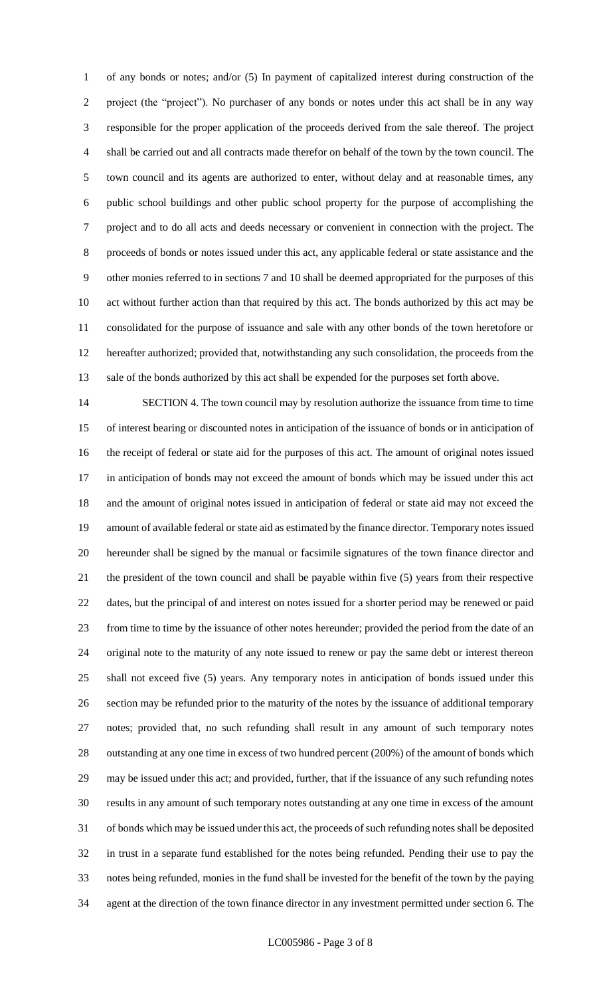of any bonds or notes; and/or (5) In payment of capitalized interest during construction of the project (the "project"). No purchaser of any bonds or notes under this act shall be in any way responsible for the proper application of the proceeds derived from the sale thereof. The project shall be carried out and all contracts made therefor on behalf of the town by the town council. The town council and its agents are authorized to enter, without delay and at reasonable times, any public school buildings and other public school property for the purpose of accomplishing the project and to do all acts and deeds necessary or convenient in connection with the project. The proceeds of bonds or notes issued under this act, any applicable federal or state assistance and the other monies referred to in sections 7 and 10 shall be deemed appropriated for the purposes of this act without further action than that required by this act. The bonds authorized by this act may be consolidated for the purpose of issuance and sale with any other bonds of the town heretofore or hereafter authorized; provided that, notwithstanding any such consolidation, the proceeds from the sale of the bonds authorized by this act shall be expended for the purposes set forth above.

 SECTION 4. The town council may by resolution authorize the issuance from time to time of interest bearing or discounted notes in anticipation of the issuance of bonds or in anticipation of the receipt of federal or state aid for the purposes of this act. The amount of original notes issued in anticipation of bonds may not exceed the amount of bonds which may be issued under this act and the amount of original notes issued in anticipation of federal or state aid may not exceed the amount of available federal or state aid as estimated by the finance director. Temporary notes issued hereunder shall be signed by the manual or facsimile signatures of the town finance director and the president of the town council and shall be payable within five (5) years from their respective dates, but the principal of and interest on notes issued for a shorter period may be renewed or paid from time to time by the issuance of other notes hereunder; provided the period from the date of an original note to the maturity of any note issued to renew or pay the same debt or interest thereon shall not exceed five (5) years. Any temporary notes in anticipation of bonds issued under this section may be refunded prior to the maturity of the notes by the issuance of additional temporary notes; provided that, no such refunding shall result in any amount of such temporary notes outstanding at any one time in excess of two hundred percent (200%) of the amount of bonds which may be issued under this act; and provided, further, that if the issuance of any such refunding notes results in any amount of such temporary notes outstanding at any one time in excess of the amount of bonds which may be issued under this act, the proceeds of such refunding notes shall be deposited in trust in a separate fund established for the notes being refunded. Pending their use to pay the notes being refunded, monies in the fund shall be invested for the benefit of the town by the paying agent at the direction of the town finance director in any investment permitted under section 6. The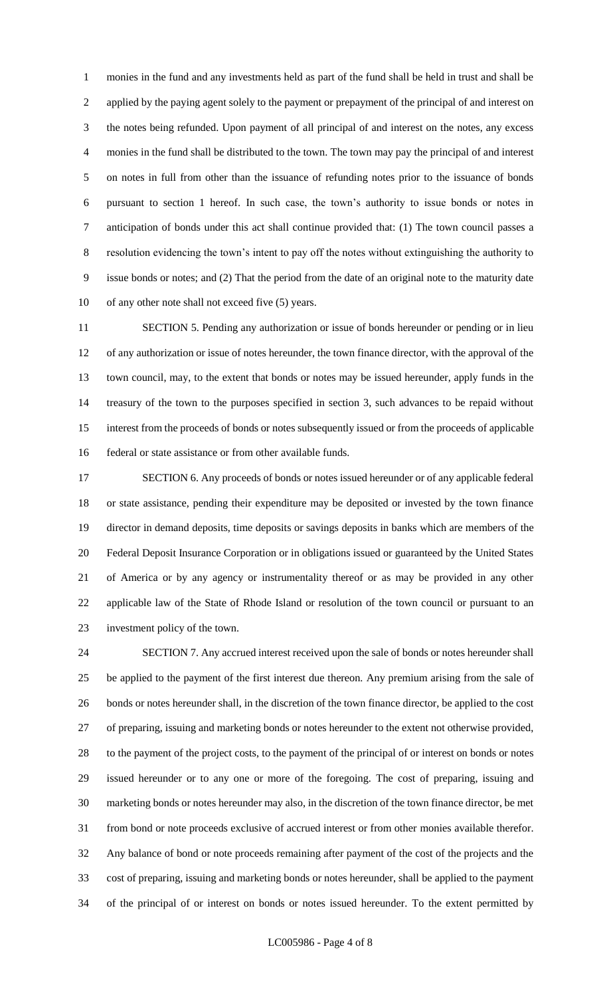monies in the fund and any investments held as part of the fund shall be held in trust and shall be applied by the paying agent solely to the payment or prepayment of the principal of and interest on the notes being refunded. Upon payment of all principal of and interest on the notes, any excess monies in the fund shall be distributed to the town. The town may pay the principal of and interest on notes in full from other than the issuance of refunding notes prior to the issuance of bonds pursuant to section 1 hereof. In such case, the town's authority to issue bonds or notes in anticipation of bonds under this act shall continue provided that: (1) The town council passes a resolution evidencing the town's intent to pay off the notes without extinguishing the authority to issue bonds or notes; and (2) That the period from the date of an original note to the maturity date of any other note shall not exceed five (5) years.

 SECTION 5. Pending any authorization or issue of bonds hereunder or pending or in lieu of any authorization or issue of notes hereunder, the town finance director, with the approval of the town council, may, to the extent that bonds or notes may be issued hereunder, apply funds in the treasury of the town to the purposes specified in section 3, such advances to be repaid without interest from the proceeds of bonds or notes subsequently issued or from the proceeds of applicable federal or state assistance or from other available funds.

 SECTION 6. Any proceeds of bonds or notes issued hereunder or of any applicable federal or state assistance, pending their expenditure may be deposited or invested by the town finance director in demand deposits, time deposits or savings deposits in banks which are members of the Federal Deposit Insurance Corporation or in obligations issued or guaranteed by the United States of America or by any agency or instrumentality thereof or as may be provided in any other applicable law of the State of Rhode Island or resolution of the town council or pursuant to an investment policy of the town.

 SECTION 7. Any accrued interest received upon the sale of bonds or notes hereunder shall be applied to the payment of the first interest due thereon. Any premium arising from the sale of bonds or notes hereunder shall, in the discretion of the town finance director, be applied to the cost of preparing, issuing and marketing bonds or notes hereunder to the extent not otherwise provided, to the payment of the project costs, to the payment of the principal of or interest on bonds or notes issued hereunder or to any one or more of the foregoing. The cost of preparing, issuing and marketing bonds or notes hereunder may also, in the discretion of the town finance director, be met from bond or note proceeds exclusive of accrued interest or from other monies available therefor. Any balance of bond or note proceeds remaining after payment of the cost of the projects and the cost of preparing, issuing and marketing bonds or notes hereunder, shall be applied to the payment of the principal of or interest on bonds or notes issued hereunder. To the extent permitted by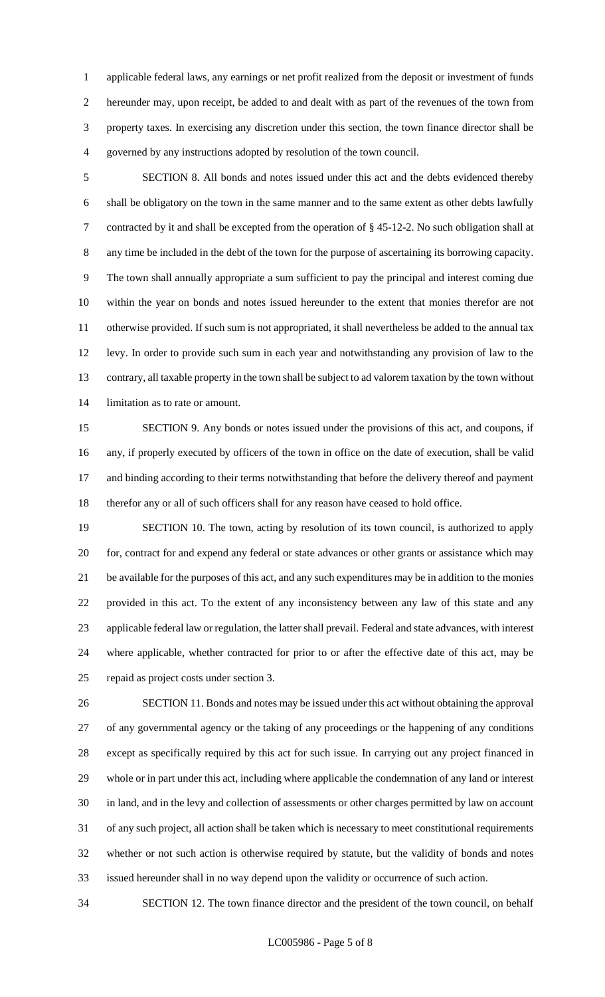applicable federal laws, any earnings or net profit realized from the deposit or investment of funds hereunder may, upon receipt, be added to and dealt with as part of the revenues of the town from property taxes. In exercising any discretion under this section, the town finance director shall be governed by any instructions adopted by resolution of the town council.

 SECTION 8. All bonds and notes issued under this act and the debts evidenced thereby shall be obligatory on the town in the same manner and to the same extent as other debts lawfully contracted by it and shall be excepted from the operation of § 45-12-2. No such obligation shall at any time be included in the debt of the town for the purpose of ascertaining its borrowing capacity. The town shall annually appropriate a sum sufficient to pay the principal and interest coming due within the year on bonds and notes issued hereunder to the extent that monies therefor are not otherwise provided. If such sum is not appropriated, it shall nevertheless be added to the annual tax levy. In order to provide such sum in each year and notwithstanding any provision of law to the contrary, all taxable property in the town shall be subject to ad valorem taxation by the town without limitation as to rate or amount.

 SECTION 9. Any bonds or notes issued under the provisions of this act, and coupons, if any, if properly executed by officers of the town in office on the date of execution, shall be valid 17 and binding according to their terms notwithstanding that before the delivery thereof and payment therefor any or all of such officers shall for any reason have ceased to hold office.

19 SECTION 10. The town, acting by resolution of its town council, is authorized to apply for, contract for and expend any federal or state advances or other grants or assistance which may be available for the purposes of this act, and any such expenditures may be in addition to the monies provided in this act. To the extent of any inconsistency between any law of this state and any applicable federal law or regulation, the latter shall prevail. Federal and state advances, with interest where applicable, whether contracted for prior to or after the effective date of this act, may be repaid as project costs under section 3.

 SECTION 11. Bonds and notes may be issued under this act without obtaining the approval of any governmental agency or the taking of any proceedings or the happening of any conditions except as specifically required by this act for such issue. In carrying out any project financed in whole or in part under this act, including where applicable the condemnation of any land or interest in land, and in the levy and collection of assessments or other charges permitted by law on account of any such project, all action shall be taken which is necessary to meet constitutional requirements whether or not such action is otherwise required by statute, but the validity of bonds and notes issued hereunder shall in no way depend upon the validity or occurrence of such action.

SECTION 12. The town finance director and the president of the town council, on behalf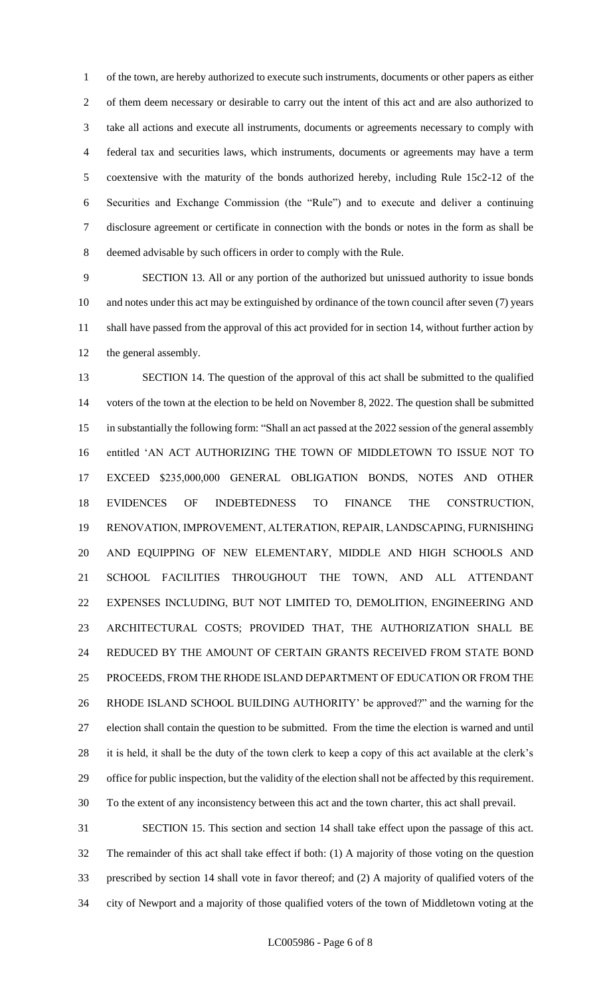of the town, are hereby authorized to execute such instruments, documents or other papers as either of them deem necessary or desirable to carry out the intent of this act and are also authorized to take all actions and execute all instruments, documents or agreements necessary to comply with federal tax and securities laws, which instruments, documents or agreements may have a term coextensive with the maturity of the bonds authorized hereby, including Rule 15c2-12 of the Securities and Exchange Commission (the "Rule") and to execute and deliver a continuing disclosure agreement or certificate in connection with the bonds or notes in the form as shall be deemed advisable by such officers in order to comply with the Rule.

 SECTION 13. All or any portion of the authorized but unissued authority to issue bonds and notes under this act may be extinguished by ordinance of the town council after seven (7) years shall have passed from the approval of this act provided for in section 14, without further action by the general assembly.

 SECTION 14. The question of the approval of this act shall be submitted to the qualified voters of the town at the election to be held on November 8, 2022. The question shall be submitted in substantially the following form: "Shall an act passed at the 2022 session of the general assembly entitled 'AN ACT AUTHORIZING THE TOWN OF MIDDLETOWN TO ISSUE NOT TO EXCEED \$235,000,000 GENERAL OBLIGATION BONDS, NOTES AND OTHER EVIDENCES OF INDEBTEDNESS TO FINANCE THE CONSTRUCTION, RENOVATION, IMPROVEMENT, ALTERATION, REPAIR, LANDSCAPING, FURNISHING AND EQUIPPING OF NEW ELEMENTARY, MIDDLE AND HIGH SCHOOLS AND SCHOOL FACILITIES THROUGHOUT THE TOWN, AND ALL ATTENDANT EXPENSES INCLUDING, BUT NOT LIMITED TO, DEMOLITION, ENGINEERING AND ARCHITECTURAL COSTS; PROVIDED THAT, THE AUTHORIZATION SHALL BE REDUCED BY THE AMOUNT OF CERTAIN GRANTS RECEIVED FROM STATE BOND PROCEEDS, FROM THE RHODE ISLAND DEPARTMENT OF EDUCATION OR FROM THE RHODE ISLAND SCHOOL BUILDING AUTHORITY' be approved?" and the warning for the election shall contain the question to be submitted. From the time the election is warned and until it is held, it shall be the duty of the town clerk to keep a copy of this act available at the clerk's office for public inspection, but the validity of the election shall not be affected by this requirement. To the extent of any inconsistency between this act and the town charter, this act shall prevail.

 SECTION 15. This section and section 14 shall take effect upon the passage of this act. The remainder of this act shall take effect if both: (1) A majority of those voting on the question prescribed by section 14 shall vote in favor thereof; and (2) A majority of qualified voters of the city of Newport and a majority of those qualified voters of the town of Middletown voting at the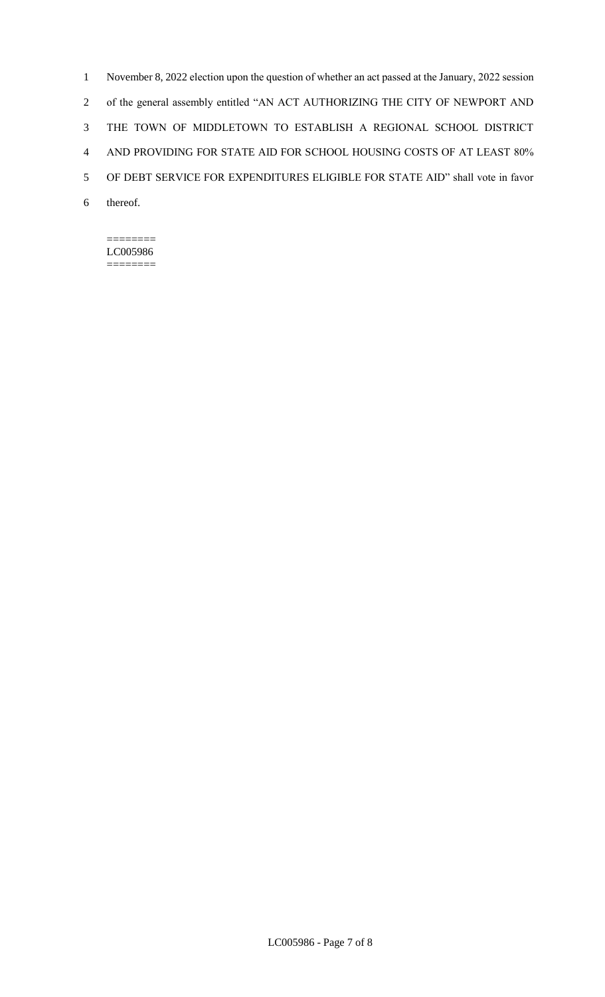November 8, 2022 election upon the question of whether an act passed at the January, 2022 session of the general assembly entitled "AN ACT AUTHORIZING THE CITY OF NEWPORT AND THE TOWN OF MIDDLETOWN TO ESTABLISH A REGIONAL SCHOOL DISTRICT AND PROVIDING FOR STATE AID FOR SCHOOL HOUSING COSTS OF AT LEAST 80% OF DEBT SERVICE FOR EXPENDITURES ELIGIBLE FOR STATE AID" shall vote in favor 6 thereof.

#### ======== LC005986 ========